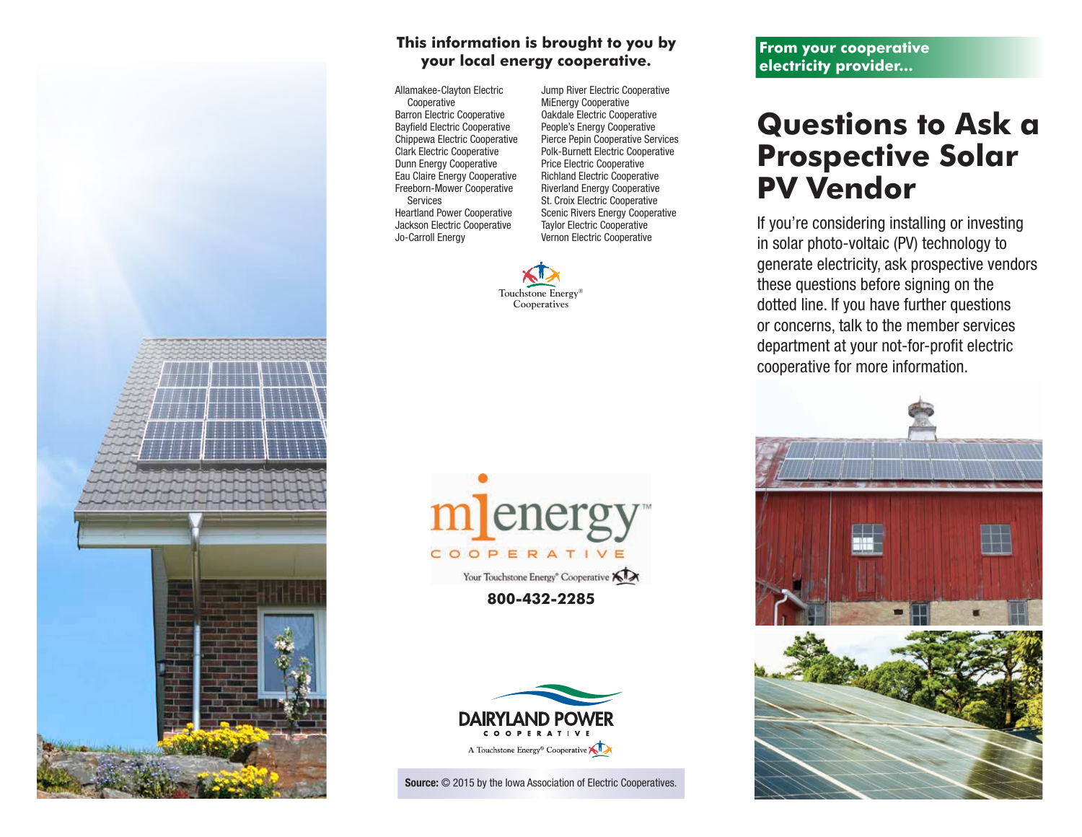

## **This information is brought to you by your local energy cooperative.**

Allamakee-Clayton Electric Cooperative Barron Electric Cooperative Bayfield Electric Cooperative Chippewa Electric Cooperative Clark Electric Cooperative Dunn Energy Cooperative Eau Claire Energy Cooperative Freeborn-Mower Cooperative Services Heartland Power Cooperative Jackson Electric Cooperative Jo-Carroll Energy

Jump River Electric Cooperative MiEnergy Cooperative Oakdale Electric Cooperative People's Energy Cooperative Pierce Pepin Cooperative Services Polk-Burnett Electric Cooperative Price Electric Cooperative Richland Electric Cooperative Riverland Energy Cooperative St. Croix Electric Cooperative Scenic Rivers Energy Cooperative Taylor Electric Cooperative Vernon Electric Cooperative







Source:  $\odot$  2015 by the Iowa Association of Electric Cooperatives.

**From your cooperative electricity provider...**

## **Questions to Ask a Prospective Solar PV Vendor**

If you're considering installing or investing in solar photo-voltaic (PV) technology to generate electricity, ask prospective vendors these questions before signing on the dotted line. If you have further questions or concerns, talk to the member services department at your not-for-profit electric cooperative for more information.